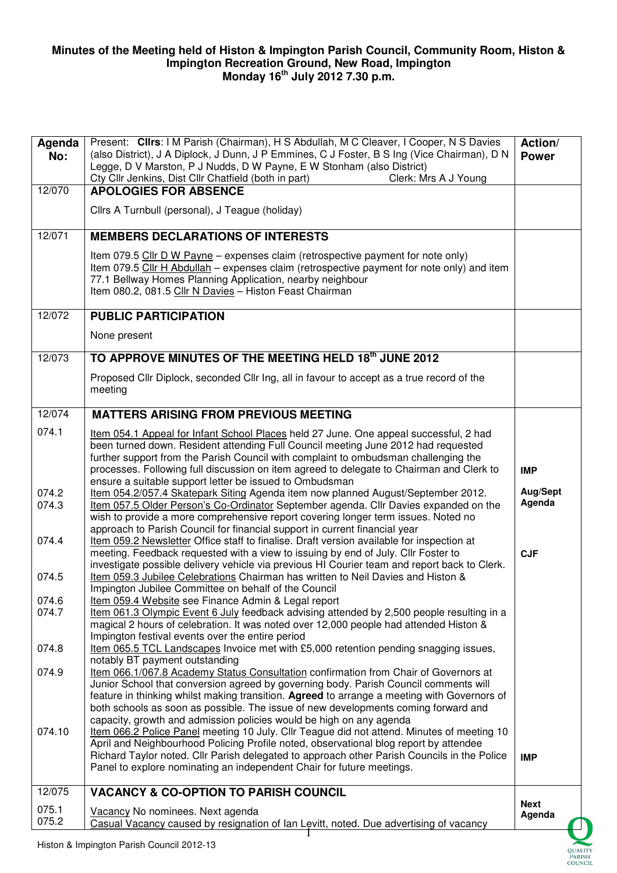## **Minutes of the Meeting held of Histon & Impington Parish Council, Community Room, Histon & Impington Recreation Ground, New Road, Impington Monday 16th July 2012 7.30 p.m.**

| Agenda<br>No:  | Present: Clirs: I M Parish (Chairman), H S Abdullah, M C Cleaver, I Cooper, N S Davies<br>(also District), J A Diplock, J Dunn, J P Emmines, C J Foster, B S Ing (Vice Chairman), D N<br>Legge, D V Marston, P J Nudds, D W Payne, E W Stonham (also District)<br>Cty Cllr Jenkins, Dist Cllr Chatfield (both in part)<br>Clerk: Mrs A J Young                | Action/<br><b>Power</b> |
|----------------|---------------------------------------------------------------------------------------------------------------------------------------------------------------------------------------------------------------------------------------------------------------------------------------------------------------------------------------------------------------|-------------------------|
| 12/070         | <b>APOLOGIES FOR ABSENCE</b>                                                                                                                                                                                                                                                                                                                                  |                         |
|                | Cllrs A Turnbull (personal), J Teague (holiday)                                                                                                                                                                                                                                                                                                               |                         |
| 12/071         | <b>MEMBERS DECLARATIONS OF INTERESTS</b>                                                                                                                                                                                                                                                                                                                      |                         |
|                | Item 079.5 Cllr D W Payne - expenses claim (retrospective payment for note only)<br>Item 079.5 Cllr H Abdullah – expenses claim (retrospective payment for note only) and item<br>77.1 Bellway Homes Planning Application, nearby neighbour<br>Item 080.2, 081.5 Cllr N Davies - Histon Feast Chairman                                                        |                         |
| 12/072         | <b>PUBLIC PARTICIPATION</b>                                                                                                                                                                                                                                                                                                                                   |                         |
|                | None present                                                                                                                                                                                                                                                                                                                                                  |                         |
| 12/073         | TO APPROVE MINUTES OF THE MEETING HELD 18th JUNE 2012                                                                                                                                                                                                                                                                                                         |                         |
|                | Proposed Cllr Diplock, seconded Cllr Ing, all in favour to accept as a true record of the<br>meeting                                                                                                                                                                                                                                                          |                         |
| 12/074         | <b>MATTERS ARISING FROM PREVIOUS MEETING</b>                                                                                                                                                                                                                                                                                                                  |                         |
| 074.1          | Item 054.1 Appeal for Infant School Places held 27 June. One appeal successful, 2 had<br>been turned down. Resident attending Full Council meeting June 2012 had requested<br>further support from the Parish Council with complaint to ombudsman challenging the<br>processes. Following full discussion on item agreed to delegate to Chairman and Clerk to | <b>IMP</b>              |
| 074.2          | ensure a suitable support letter be issued to Ombudsman<br>Item 054.2/057.4 Skatepark Siting Agenda item now planned August/September 2012.                                                                                                                                                                                                                   | Aug/Sept                |
| 074.3          | Item 057.5 Older Person's Co-Ordinator September agenda. Cllr Davies expanded on the<br>wish to provide a more comprehensive report covering longer term issues. Noted no<br>approach to Parish Council for financial support in current financial year                                                                                                       | Agenda                  |
| 074.4          | Item 059.2 Newsletter Office staff to finalise. Draft version available for inspection at<br>meeting. Feedback requested with a view to issuing by end of July. Cllr Foster to<br>investigate possible delivery vehicle via previous HI Courier team and report back to Clerk.                                                                                | <b>CJF</b>              |
| 074.5          | Item 059.3 Jubilee Celebrations Chairman has written to Neil Davies and Histon &<br>Impington Jubilee Committee on behalf of the Council                                                                                                                                                                                                                      |                         |
| 074.6<br>074.7 | Item 059.4 Website see Finance Admin & Legal report<br>Item 061.3 Olympic Event 6 July feedback advising attended by 2,500 people resulting in a                                                                                                                                                                                                              |                         |
|                | magical 2 hours of celebration. It was noted over 12,000 people had attended Histon &<br>Impington festival events over the entire period                                                                                                                                                                                                                     |                         |
| 074.8          | Item 065.5 TCL Landscapes Invoice met with £5,000 retention pending snagging issues,                                                                                                                                                                                                                                                                          |                         |
| 074.9          | notably BT payment outstanding<br>Item 066.1/067.8 Academy Status Consultation confirmation from Chair of Governors at<br>Junior School that conversion agreed by governing body. Parish Council comments will                                                                                                                                                |                         |
| 074.10         | feature in thinking whilst making transition. Agreed to arrange a meeting with Governors of<br>both schools as soon as possible. The issue of new developments coming forward and<br>capacity, growth and admission policies would be high on any agenda<br>Item 066.2 Police Panel meeting 10 July. Cllr Teague did not attend. Minutes of meeting 10        |                         |
|                | April and Neighbourhood Policing Profile noted, observational blog report by attendee<br>Richard Taylor noted. Cllr Parish delegated to approach other Parish Councils in the Police<br>Panel to explore nominating an independent Chair for future meetings.                                                                                                 | <b>IMP</b>              |
| 12/075         | <b>VACANCY &amp; CO-OPTION TO PARISH COUNCIL</b>                                                                                                                                                                                                                                                                                                              |                         |
| 075.1<br>075.2 | Vacancy No nominees. Next agenda<br>Casual Vacancy caused by resignation of lan Levitt, noted. Due advertising of vacancy                                                                                                                                                                                                                                     | <b>Next</b><br>Agenda   |
|                |                                                                                                                                                                                                                                                                                                                                                               |                         |

**OUALITY** PARISH<br>COUNCIL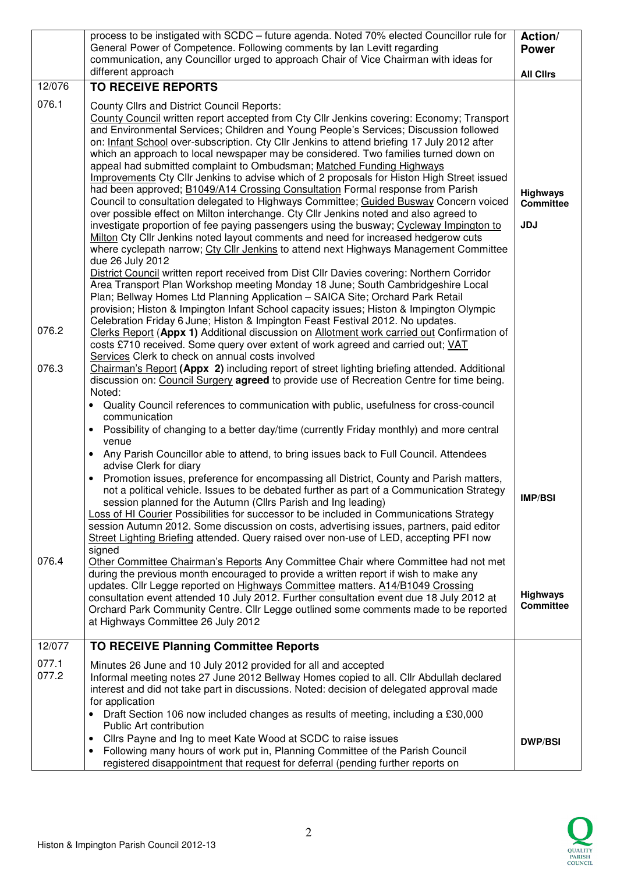|                 | process to be instigated with SCDC - future agenda. Noted 70% elected Councillor rule for<br>General Power of Competence. Following comments by Ian Levitt regarding<br>communication, any Councillor urged to approach Chair of Vice Chairman with ideas for                                                                                                                                                                                                                                                                                                                                                                                                                                                                                                                                                                                                                                                                                                                                                                                                                                                                                                                                                                                                                                                                                                                                                                                                                                                                                                            | Action/<br><b>Power</b>                           |
|-----------------|--------------------------------------------------------------------------------------------------------------------------------------------------------------------------------------------------------------------------------------------------------------------------------------------------------------------------------------------------------------------------------------------------------------------------------------------------------------------------------------------------------------------------------------------------------------------------------------------------------------------------------------------------------------------------------------------------------------------------------------------------------------------------------------------------------------------------------------------------------------------------------------------------------------------------------------------------------------------------------------------------------------------------------------------------------------------------------------------------------------------------------------------------------------------------------------------------------------------------------------------------------------------------------------------------------------------------------------------------------------------------------------------------------------------------------------------------------------------------------------------------------------------------------------------------------------------------|---------------------------------------------------|
|                 | different approach                                                                                                                                                                                                                                                                                                                                                                                                                                                                                                                                                                                                                                                                                                                                                                                                                                                                                                                                                                                                                                                                                                                                                                                                                                                                                                                                                                                                                                                                                                                                                       | <b>All Clirs</b>                                  |
| 12/076<br>076.1 | <b>TO RECEIVE REPORTS</b><br><b>County Cllrs and District Council Reports:</b><br>County Council written report accepted from Cty Cllr Jenkins covering: Economy; Transport<br>and Environmental Services; Children and Young People's Services; Discussion followed<br>on: Infant School over-subscription. Cty Cllr Jenkins to attend briefing 17 July 2012 after<br>which an approach to local newspaper may be considered. Two families turned down on<br>appeal had submitted complaint to Ombudsman; Matched Funding Highways<br>Improvements Cty Cllr Jenkins to advise which of 2 proposals for Histon High Street issued<br>had been approved; <b>B1049/A14 Crossing Consultation Formal response from Parish</b><br>Council to consultation delegated to Highways Committee; Guided Busway Concern voiced<br>over possible effect on Milton interchange. Cty Cllr Jenkins noted and also agreed to<br>investigate proportion of fee paying passengers using the busway; Cycleway Impington to<br>Milton Cty Cllr Jenkins noted layout comments and need for increased hedgerow cuts<br>where cyclepath narrow; Cty Cllr Jenkins to attend next Highways Management Committee<br>due 26 July 2012<br>District Council written report received from Dist Cllr Davies covering: Northern Corridor<br>Area Transport Plan Workshop meeting Monday 18 June; South Cambridgeshire Local<br>Plan; Bellway Homes Ltd Planning Application - SAICA Site; Orchard Park Retail<br>provision; Histon & Impington Infant School capacity issues; Histon & Impington Olympic | <b>Highways</b><br><b>Committee</b><br><b>JDJ</b> |
| 076.2           | Celebration Friday 6 June; Histon & Impington Feast Festival 2012. No updates.<br>Clerks Report (Appx 1) Additional discussion on Allotment work carried out Confirmation of<br>costs £710 received. Some query over extent of work agreed and carried out; VAT                                                                                                                                                                                                                                                                                                                                                                                                                                                                                                                                                                                                                                                                                                                                                                                                                                                                                                                                                                                                                                                                                                                                                                                                                                                                                                          |                                                   |
| 076.3           | Services Clerk to check on annual costs involved<br>Chairman's Report (Appx 2) including report of street lighting briefing attended. Additional<br>discussion on: Council Surgery agreed to provide use of Recreation Centre for time being.<br>Noted:<br>Quality Council references to communication with public, usefulness for cross-council<br>communication<br>Possibility of changing to a better day/time (currently Friday monthly) and more central<br>$\bullet$                                                                                                                                                                                                                                                                                                                                                                                                                                                                                                                                                                                                                                                                                                                                                                                                                                                                                                                                                                                                                                                                                               |                                                   |
| 076.4           | venue<br>Any Parish Councillor able to attend, to bring issues back to Full Council. Attendees<br>$\bullet$<br>advise Clerk for diary<br>Promotion issues, preference for encompassing all District, County and Parish matters,<br>$\bullet$<br>not a political vehicle. Issues to be debated further as part of a Communication Strategy<br>session planned for the Autumn (Cllrs Parish and Ing leading)<br>Loss of HI Courier Possibilities for successor to be included in Communications Strategy<br>session Autumn 2012. Some discussion on costs, advertising issues, partners, paid editor<br>Street Lighting Briefing attended. Query raised over non-use of LED, accepting PFI now<br>signed<br>Other Committee Chairman's Reports Any Committee Chair where Committee had not met                                                                                                                                                                                                                                                                                                                                                                                                                                                                                                                                                                                                                                                                                                                                                                             | <b>IMP/BSI</b>                                    |
|                 | during the previous month encouraged to provide a written report if wish to make any<br>updates. Cllr Legge reported on Highways Committee matters. A14/B1049 Crossing<br>consultation event attended 10 July 2012. Further consultation event due 18 July 2012 at<br>Orchard Park Community Centre. Cllr Legge outlined some comments made to be reported<br>at Highways Committee 26 July 2012                                                                                                                                                                                                                                                                                                                                                                                                                                                                                                                                                                                                                                                                                                                                                                                                                                                                                                                                                                                                                                                                                                                                                                         | <b>Highways</b><br><b>Committee</b>               |
| 12/077          | <b>TO RECEIVE Planning Committee Reports</b>                                                                                                                                                                                                                                                                                                                                                                                                                                                                                                                                                                                                                                                                                                                                                                                                                                                                                                                                                                                                                                                                                                                                                                                                                                                                                                                                                                                                                                                                                                                             |                                                   |
| 077.1<br>077.2  | Minutes 26 June and 10 July 2012 provided for all and accepted<br>Informal meeting notes 27 June 2012 Bellway Homes copied to all. Cllr Abdullah declared<br>interest and did not take part in discussions. Noted: decision of delegated approval made<br>for application<br>Draft Section 106 now included changes as results of meeting, including a £30,000<br>Public Art contribution<br>Cllrs Payne and Ing to meet Kate Wood at SCDC to raise issues<br>$\bullet$<br>Following many hours of work put in, Planning Committee of the Parish Council<br>registered disappointment that request for deferral (pending further reports on                                                                                                                                                                                                                                                                                                                                                                                                                                                                                                                                                                                                                                                                                                                                                                                                                                                                                                                              | <b>DWP/BSI</b>                                    |

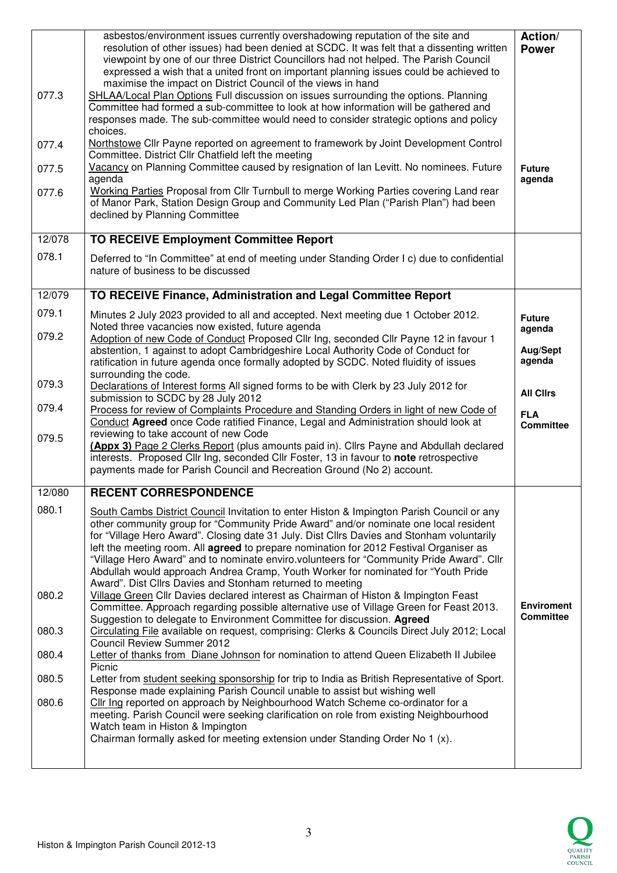| 077.3<br>077.4<br>077.5<br>077.6 | asbestos/environment issues currently overshadowing reputation of the site and<br>resolution of other issues) had been denied at SCDC. It was felt that a dissenting written<br>viewpoint by one of our three District Councillors had not helped. The Parish Council<br>expressed a wish that a united front on important planning issues could be achieved to<br>maximise the impact on District Council of the views in hand<br>SHLAA/Local Plan Options Full discussion on issues surrounding the options. Planning<br>Committee had formed a sub-committee to look at how information will be gathered and<br>responses made. The sub-committee would need to consider strategic options and policy<br>choices.<br>Northstowe Cllr Payne reported on agreement to framework by Joint Development Control<br>Committee. District Cllr Chatfield left the meeting<br>Vacancy on Planning Committee caused by resignation of lan Levitt. No nominees. Future<br>agenda<br>Working Parties Proposal from Cllr Turnbull to merge Working Parties covering Land rear<br>of Manor Park, Station Design Group and Community Led Plan ("Parish Plan") had been<br>declined by Planning Committee | Action/<br><b>Power</b><br><b>Future</b><br>agenda |
|----------------------------------|----------------------------------------------------------------------------------------------------------------------------------------------------------------------------------------------------------------------------------------------------------------------------------------------------------------------------------------------------------------------------------------------------------------------------------------------------------------------------------------------------------------------------------------------------------------------------------------------------------------------------------------------------------------------------------------------------------------------------------------------------------------------------------------------------------------------------------------------------------------------------------------------------------------------------------------------------------------------------------------------------------------------------------------------------------------------------------------------------------------------------------------------------------------------------------------------|----------------------------------------------------|
| 12/078                           | <b>TO RECEIVE Employment Committee Report</b>                                                                                                                                                                                                                                                                                                                                                                                                                                                                                                                                                                                                                                                                                                                                                                                                                                                                                                                                                                                                                                                                                                                                                |                                                    |
| 078.1                            | Deferred to "In Committee" at end of meeting under Standing Order I c) due to confidential<br>nature of business to be discussed                                                                                                                                                                                                                                                                                                                                                                                                                                                                                                                                                                                                                                                                                                                                                                                                                                                                                                                                                                                                                                                             |                                                    |
| 12/079                           | TO RECEIVE Finance, Administration and Legal Committee Report                                                                                                                                                                                                                                                                                                                                                                                                                                                                                                                                                                                                                                                                                                                                                                                                                                                                                                                                                                                                                                                                                                                                |                                                    |
| 079.1                            | Minutes 2 July 2023 provided to all and accepted. Next meeting due 1 October 2012.<br>Noted three vacancies now existed, future agenda                                                                                                                                                                                                                                                                                                                                                                                                                                                                                                                                                                                                                                                                                                                                                                                                                                                                                                                                                                                                                                                       | <b>Future</b><br>agenda                            |
| 079.2                            | Adoption of new Code of Conduct Proposed Cllr Ing, seconded Cllr Payne 12 in favour 1<br>abstention, 1 against to adopt Cambridgeshire Local Authority Code of Conduct for<br>ratification in future agenda once formally adopted by SCDC. Noted fluidity of issues<br>surrounding the code.                                                                                                                                                                                                                                                                                                                                                                                                                                                                                                                                                                                                                                                                                                                                                                                                                                                                                                 | Aug/Sept<br>agenda                                 |
| 079.3                            | Declarations of Interest forms All signed forms to be with Clerk by 23 July 2012 for<br>submission to SCDC by 28 July 2012                                                                                                                                                                                                                                                                                                                                                                                                                                                                                                                                                                                                                                                                                                                                                                                                                                                                                                                                                                                                                                                                   | <b>All Clirs</b>                                   |
| 079.4                            | Process for review of Complaints Procedure and Standing Orders in light of new Code of<br>Conduct Agreed once Code ratified Finance, Legal and Administration should look at                                                                                                                                                                                                                                                                                                                                                                                                                                                                                                                                                                                                                                                                                                                                                                                                                                                                                                                                                                                                                 | <b>FLA</b><br><b>Committee</b>                     |
| 079.5                            | reviewing to take account of new Code<br>(Appx 3) Page 2 Clerks Report (plus amounts paid in). Cllrs Payne and Abdullah declared<br>interests. Proposed Cllr Ing, seconded Cllr Foster, 13 in favour to note retrospective<br>payments made for Parish Council and Recreation Ground (No 2) account.                                                                                                                                                                                                                                                                                                                                                                                                                                                                                                                                                                                                                                                                                                                                                                                                                                                                                         |                                                    |
| 12/080                           | <b>RECENT CORRESPONDENCE</b>                                                                                                                                                                                                                                                                                                                                                                                                                                                                                                                                                                                                                                                                                                                                                                                                                                                                                                                                                                                                                                                                                                                                                                 |                                                    |
| 080.1<br>080.2                   | South Cambs District Council Invitation to enter Histon & Impington Parish Council or any<br>other community group for "Community Pride Award" and/or nominate one local resident<br>for "Village Hero Award". Closing date 31 July. Dist Cllrs Davies and Stonham voluntarily<br>left the meeting room. All <b>agreed</b> to prepare nomination for 2012 Festival Organiser as<br>"Village Hero Award" and to nominate enviro.volunteers for "Community Pride Award". Cllr<br>Abdullah would approach Andrea Cramp, Youth Worker for nominated for "Youth Pride<br>Award". Dist Cllrs Davies and Stonham returned to meeting<br>Village Green Cllr Davies declared interest as Chairman of Histon & Impington Feast<br>Committee. Approach regarding possible alternative use of Village Green for Feast 2013.<br>Suggestion to delegate to Environment Committee for discussion. Agreed                                                                                                                                                                                                                                                                                                    | <b>Enviroment</b><br><b>Committee</b>              |
| 080.3                            | Circulating File available on request, comprising: Clerks & Councils Direct July 2012; Local<br><b>Council Review Summer 2012</b>                                                                                                                                                                                                                                                                                                                                                                                                                                                                                                                                                                                                                                                                                                                                                                                                                                                                                                                                                                                                                                                            |                                                    |
| 080.4                            | Letter of thanks from Diane Johnson for nomination to attend Queen Elizabeth II Jubilee<br>Picnic                                                                                                                                                                                                                                                                                                                                                                                                                                                                                                                                                                                                                                                                                                                                                                                                                                                                                                                                                                                                                                                                                            |                                                    |
| 080.5                            | Letter from student seeking sponsorship for trip to India as British Representative of Sport.<br>Response made explaining Parish Council unable to assist but wishing well                                                                                                                                                                                                                                                                                                                                                                                                                                                                                                                                                                                                                                                                                                                                                                                                                                                                                                                                                                                                                   |                                                    |
| 080.6                            | Cllr Ing reported on approach by Neighbourhood Watch Scheme co-ordinator for a<br>meeting. Parish Council were seeking clarification on role from existing Neighbourhood<br>Watch team in Histon & Impington<br>Chairman formally asked for meeting extension under Standing Order No 1 (x).                                                                                                                                                                                                                                                                                                                                                                                                                                                                                                                                                                                                                                                                                                                                                                                                                                                                                                 |                                                    |